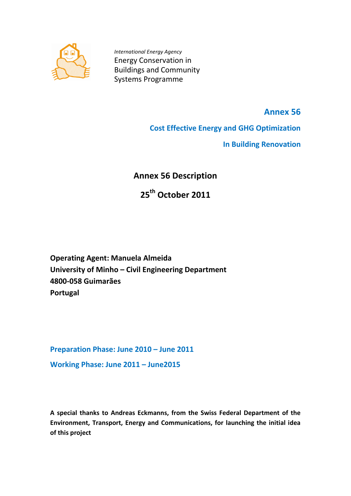

*International Energy Agency*  Energy Conservation in Buildings and Community Systems Programme

> **Annex 56 Cost Effective Energy and GHG Optimization In Building Renovation**

**Annex 56 Description**

**25th October 2011**

**Operating Agent: Manuela Almeida University of Minho – Civil Engineering Department 4800-058 Guimarães Portugal** 

**Preparation Phase: June 2010 – June 2011**

**Working Phase: June 2011 – June2015** 

**A special thanks to Andreas Eckmanns, from the Swiss Federal Department of the Environment, Transport, Energy and Communications, for launching the initial idea of this project**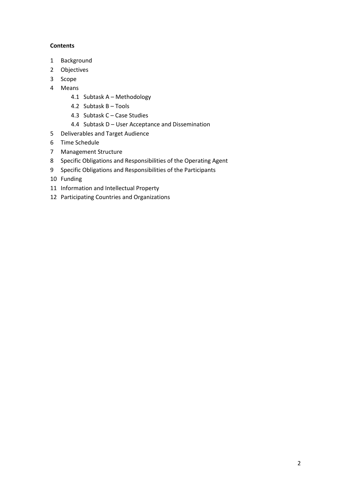## **Contents**

- Background
- Objectives
- Scope
- Means
	- 4.1 Subtask A Methodology
	- 4.2 Subtask B Tools
	- 4.3 Subtask C Case Studies
	- 4.4 Subtask D User Acceptance and Dissemination
- Deliverables and Target Audience
- Time Schedule
- Management Structure
- Specific Obligations and Responsibilities of the Operating Agent
- Specific Obligations and Responsibilities of the Participants
- Funding
- Information and Intellectual Property
- Participating Countries and Organizations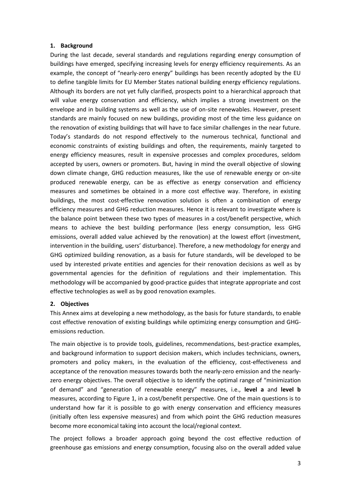#### **1. Background**

During the last decade, several standards and regulations regarding energy consumption of buildings have emerged, specifying increasing levels for energy efficiency requirements. As an example, the concept of "nearly-zero energy" buildings has been recently adopted by the EU to define tangible limits for EU Member States national building energy efficiency regulations. Although its borders are not yet fully clarified, prospects point to a hierarchical approach that will value energy conservation and efficiency, which implies a strong investment on the envelope and in building systems as well as the use of on-site renewables. However, present standards are mainly focused on new buildings, providing most of the time less guidance on the renovation of existing buildings that will have to face similar challenges in the near future. Today's standards do not respond effectively to the numerous technical, functional and economic constraints of existing buildings and often, the requirements, mainly targeted to energy efficiency measures, result in expensive processes and complex procedures, seldom accepted by users, owners or promoters. But, having in mind the overall objective of slowing down climate change, GHG reduction measures, like the use of renewable energy or on-site produced renewable energy, can be as effective as energy conservation and efficiency measures and sometimes be obtained in a more cost effective way. Therefore, in existing buildings, the most cost-effective renovation solution is often a combination of energy efficiency measures and GHG reduction measures. Hence it is relevant to investigate where is the balance point between these two types of measures in a cost/benefit perspective, which means to achieve the best building performance (less energy consumption, less GHG emissions, overall added value achieved by the renovation) at the lowest effort (investment, intervention in the building, users' disturbance). Therefore, a new methodology for energy and GHG optimized building renovation, as a basis for future standards, will be developed to be used by interested private entities and agencies for their renovation decisions as well as by governmental agencies for the definition of regulations and their implementation. This methodology will be accompanied by good-practice guides that integrate appropriate and cost effective technologies as well as by good renovation examples.

#### **2. Objectives**

This Annex aims at developing a new methodology, as the basis for future standards, to enable cost effective renovation of existing buildings while optimizing energy consumption and GHGemissions reduction.

The main objective is to provide tools, guidelines, recommendations, best-practice examples, and background information to support decision makers, which includes technicians, owners, promoters and policy makers, in the evaluation of the efficiency, cost-effectiveness and acceptance of the renovation measures towards both the nearly-zero emission and the nearlyzero energy objectives. The overall objective is to identify the optimal range of "minimization of demand" and "generation of renewable energy" measures, i.e., **level a** and **level b** measures, according to Figure 1, in a cost/benefit perspective. One of the main questions is to understand how far it is possible to go with energy conservation and efficiency measures (initially often less expensive measures) and from which point the GHG reduction measures become more economical taking into account the local/regional context.

The project follows a broader approach going beyond the cost effective reduction of greenhouse gas emissions and energy consumption, focusing also on the overall added value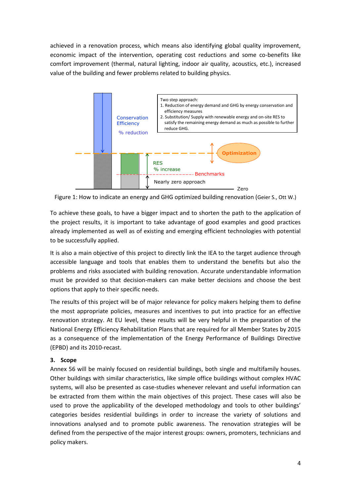achieved in a renovation process, which means also identifying global quality improvement, economic impact of the intervention, operating cost reductions and some co-benefits like comfort improvement (thermal, natural lighting, indoor air quality, acoustics, etc.), increased value of the building and fewer problems related to building physics.



Figure 1: How to indicate an energy and GHG optimized building renovation (Geier S., Ott W.)

To achieve these goals, to have a bigger impact and to shorten the path to the application of the project results, it is important to take advantage of good examples and good practices already implemented as well as of existing and emerging efficient technologies with potential to be successfully applied.

It is also a main objective of this project to directly link the IEA to the target audience through accessible language and tools that enables them to understand the benefits but also the problems and risks associated with building renovation. Accurate understandable information must be provided so that decision-makers can make better decisions and choose the best options that apply to their specific needs.

The results of this project will be of major relevance for policy makers helping them to define the most appropriate policies, measures and incentives to put into practice for an effective renovation strategy. At EU level, these results will be very helpful in the preparation of the National Energy Efficiency Rehabilitation Plans that are required for all Member States by 2015 as a consequence of the implementation of the Energy Performance of Buildings Directive (EPBD) and its 2010-recast.

# **3. Scope**

Annex 56 will be mainly focused on residential buildings, both single and multifamily houses. Other buildings with similar characteristics, like simple office buildings without complex HVAC systems, will also be presented as case-studies whenever relevant and useful information can be extracted from them within the main objectives of this project. These cases will also be used to prove the applicability of the developed methodology and tools to other buildings' categories besides residential buildings in order to increase the variety of solutions and innovations analysed and to promote public awareness. The renovation strategies will be defined from the perspective of the major interest groups: owners, promoters, technicians and policy makers.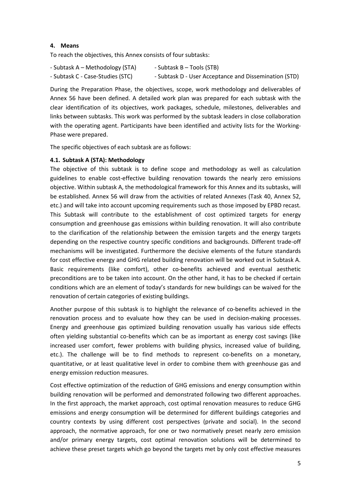#### **4. Means**

To reach the objectives, this Annex consists of four subtasks:

```
- Subtask A – Methodology (STA) - Subtask B – Tools (STB)
- Subtask C - Case-Studies (STC) - Subtask D - User Acceptance and Dissemination (STD)
```
During the Preparation Phase, the objectives, scope, work methodology and deliverables of Annex 56 have been defined. A detailed work plan was prepared for each subtask with the clear identification of its objectives, work packages, schedule, milestones, deliverables and links between subtasks. This work was performed by the subtask leaders in close collaboration with the operating agent. Participants have been identified and activity lists for the Working-Phase were prepared.

The specific objectives of each subtask are as follows:

#### **4.1. Subtask A (STA): Methodology**

The objective of this subtask is to define scope and methodology as well as calculation guidelines to enable cost-effective building renovation towards the nearly zero emissions objective. Within subtask A, the methodological framework for this Annex and its subtasks, will be established. Annex 56 will draw from the activities of related Annexes (Task 40, Annex 52, etc.) and will take into account upcoming requirements such as those imposed by EPBD recast. This Subtask will contribute to the establishment of cost optimized targets for energy consumption and greenhouse gas emissions within building renovation. It will also contribute to the clarification of the relationship between the emission targets and the energy targets depending on the respective country specific conditions and backgrounds. Different trade-off mechanisms will be investigated. Furthermore the decisive elements of the future standards for cost effective energy and GHG related building renovation will be worked out in Subtask A. Basic requirements (like comfort), other co-benefits achieved and eventual aesthetic preconditions are to be taken into account. On the other hand, it has to be checked if certain conditions which are an element of today's standards for new buildings can be waived for the renovation of certain categories of existing buildings.

Another purpose of this subtask is to highlight the relevance of co-benefits achieved in the renovation process and to evaluate how they can be used in decision-making processes. Energy and greenhouse gas optimized building renovation usually has various side effects often yielding substantial co-benefits which can be as important as energy cost savings (like increased user comfort, fewer problems with building physics, increased value of building, etc.). The challenge will be to find methods to represent co-benefits on a monetary, quantitative, or at least qualitative level in order to combine them with greenhouse gas and energy emission reduction measures.

Cost effective optimization of the reduction of GHG emissions and energy consumption within building renovation will be performed and demonstrated following two different approaches. In the first approach, the market approach, cost optimal renovation measures to reduce GHG emissions and energy consumption will be determined for different buildings categories and country contexts by using different cost perspectives (private and social). In the second approach, the normative approach, for one or two normatively preset nearly zero emission and/or primary energy targets, cost optimal renovation solutions will be determined to achieve these preset targets which go beyond the targets met by only cost effective measures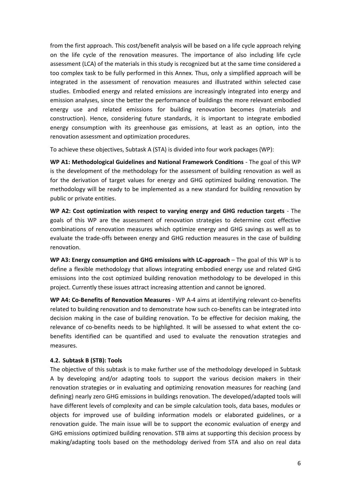from the first approach. This cost/benefit analysis will be based on a life cycle approach relying on the life cycle of the renovation measures. The importance of also including life cycle assessment (LCA) of the materials in this study is recognized but at the same time considered a too complex task to be fully performed in this Annex. Thus, only a simplified approach will be integrated in the assessment of renovation measures and illustrated within selected case studies. Embodied energy and related emissions are increasingly integrated into energy and emission analyses, since the better the performance of buildings the more relevant embodied energy use and related emissions for building renovation becomes (materials and construction). Hence, considering future standards, it is important to integrate embodied energy consumption with its greenhouse gas emissions, at least as an option, into the renovation assessment and optimization procedures.

To achieve these objectives, Subtask A (STA) is divided into four work packages (WP):

**WP A1: Methodological Guidelines and National Framework Conditions** - The goal of this WP is the development of the methodology for the assessment of building renovation as well as for the derivation of target values for energy and GHG optimized building renovation. The methodology will be ready to be implemented as a new standard for building renovation by public or private entities.

**WP A2: Cost optimization with respect to varying energy and GHG reduction targets** - The goals of this WP are the assessment of renovation strategies to determine cost effective combinations of renovation measures which optimize energy and GHG savings as well as to evaluate the trade-offs between energy and GHG reduction measures in the case of building renovation.

**WP A3: Energy consumption and GHG emissions with LC-approach** – The goal of this WP is to define a flexible methodology that allows integrating embodied energy use and related GHG emissions into the cost optimized building renovation methodology to be developed in this project. Currently these issues attract increasing attention and cannot be ignored.

**WP A4: Co-Benefits of Renovation Measures** - WP A-4 aims at identifying relevant co-benefits related to building renovation and to demonstrate how such co-benefits can be integrated into decision making in the case of building renovation. To be effective for decision making, the relevance of co-benefits needs to be highlighted. It will be assessed to what extent the cobenefits identified can be quantified and used to evaluate the renovation strategies and measures.

### **4.2. Subtask B (STB): Tools**

The objective of this subtask is to make further use of the methodology developed in Subtask A by developing and/or adapting tools to support the various decision makers in their renovation strategies or in evaluating and optimizing renovation measures for reaching (and defining) nearly zero GHG emissions in buildings renovation. The developed/adapted tools will have different levels of complexity and can be simple calculation tools, data bases, modules or objects for improved use of building information models or elaborated guidelines, or a renovation guide. The main issue will be to support the economic evaluation of energy and GHG emissions optimized building renovation. STB aims at supporting this decision process by making/adapting tools based on the methodology derived from STA and also on real data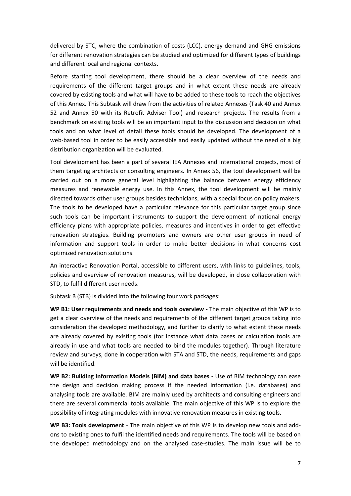delivered by STC, where the combination of costs (LCC), energy demand and GHG emissions for different renovation strategies can be studied and optimized for different types of buildings and different local and regional contexts.

Before starting tool development, there should be a clear overview of the needs and requirements of the different target groups and in what extent these needs are already covered by existing tools and what will have to be added to these tools to reach the objectives of this Annex. This Subtask will draw from the activities of related Annexes (Task 40 and Annex 52 and Annex 50 with its Retrofit Adviser Tool) and research projects. The results from a benchmark on existing tools will be an important input to the discussion and decision on what tools and on what level of detail these tools should be developed. The development of a web-based tool in order to be easily accessible and easily updated without the need of a big distribution organization will be evaluated.

Tool development has been a part of several IEA Annexes and international projects, most of them targeting architects or consulting engineers. In Annex 56, the tool development will be carried out on a more general level highlighting the balance between energy efficiency measures and renewable energy use. In this Annex, the tool development will be mainly directed towards other user groups besides technicians, with a special focus on policy makers. The tools to be developed have a particular relevance for this particular target group since such tools can be important instruments to support the development of national energy efficiency plans with appropriate policies, measures and incentives in order to get effective renovation strategies. Building promoters and owners are other user groups in need of information and support tools in order to make better decisions in what concerns cost optimized renovation solutions.

An interactive Renovation Portal, accessible to different users, with links to guidelines, tools, policies and overview of renovation measures, will be developed, in close collaboration with STD, to fulfil different user needs.

Subtask B (STB) is divided into the following four work packages:

**WP B1: User requirements and needs and tools overview -** The main objective of this WP is to get a clear overview of the needs and requirements of the different target groups taking into consideration the developed methodology, and further to clarify to what extent these needs are already covered by existing tools (for instance what data bases or calculation tools are already in use and what tools are needed to bind the modules together). Through literature review and surveys, done in cooperation with STA and STD, the needs, requirements and gaps will be identified.

**WP B2: Building Information Models (BIM) and data bases -** Use of BIM technology can ease the design and decision making process if the needed information (i.e. databases) and analysing tools are available. BIM are mainly used by architects and consulting engineers and there are several commercial tools available. The main objective of this WP is to explore the possibility of integrating modules with innovative renovation measures in existing tools.

**WP B3: Tools development** - The main objective of this WP is to develop new tools and addons to existing ones to fulfil the identified needs and requirements. The tools will be based on the developed methodology and on the analysed case-studies. The main issue will be to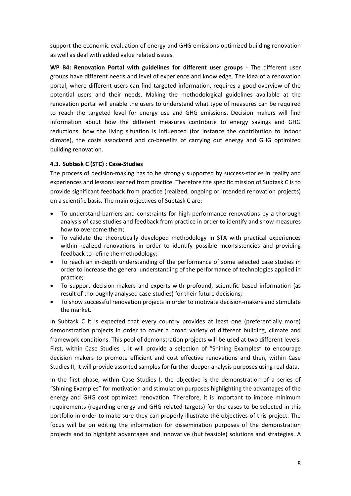support the economic evaluation of energy and GHG emissions optimized building renovation as well as deal with added value related issues.

**WP B4: Renovation Portal with guidelines for different user groups** - The different user groups have different needs and level of experience and knowledge. The idea of a renovation portal, where different users can find targeted information, requires a good overview of the potential users and their needs. Making the methodological guidelines available at the renovation portal will enable the users to understand what type of measures can be required to reach the targeted level for energy use and GHG emissions. Decision makers will find information about how the different measures contribute to energy savings and GHG reductions, how the living situation is influenced (for instance the contribution to indoor climate), the costs associated and co-benefits of carrying out energy and GHG optimized building renovation.

### **4.3. Subtask C (STC) : Case-Studies**

The process of decision-making has to be strongly supported by success-stories in reality and experiences and lessons learned from practice. Therefore the specific mission of Subtask C is to provide significant feedback from practice (realized, ongoing or intended renovation projects) on a scientific basis. The main objectives of Subtask C are:

- To understand barriers and constraints for high performance renovations by a thorough analysis of case studies and feedback from practice in order to identify and show measures how to overcome them;
- To validate the theoretically developed methodology in STA with practical experiences within realized renovations in order to identify possible inconsistencies and providing feedback to refine the methodology;
- To reach an in-depth understanding of the performance of some selected case studies in order to increase the general understanding of the performance of technologies applied in practice;
- To support decision-makers and experts with profound, scientific based information (as result of thoroughly analysed case-studies) for their future decisions;
- To show successful renovation projects in order to motivate decision-makers and stimulate the market.

In Subtask C it is expected that every country provides at least one (preferentially more) demonstration projects in order to cover a broad variety of different building, climate and framework conditions. This pool of demonstration projects will be used at two different levels. First, within Case Studies I, it will provide a selection of "Shining Examples" to encourage decision makers to promote efficient and cost effective renovations and then, within Case Studies II, it will provide assorted samples for further deeper analysis purposes using real data.

In the first phase, within Case Studies I, the objective is the demonstration of a series of "Shining Examples" for motivation and stimulation purposes highlighting the advantages of the energy and GHG cost optimized renovation. Therefore, it is important to impose minimum requirements (regarding energy and GHG related targets) for the cases to be selected in this portfolio in order to make sure they can properly illustrate the objectives of this project. The focus will be on editing the information for dissemination purposes of the demonstration projects and to highlight advantages and innovative (but feasible) solutions and strategies. A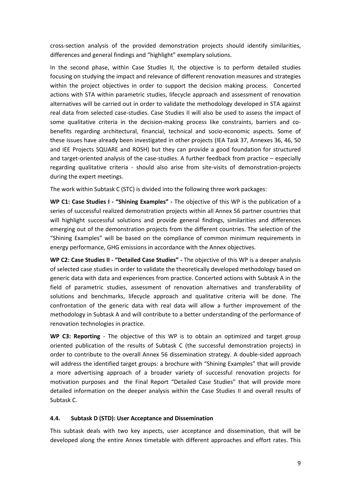cross-section analysis of the provided demonstration projects should identify similarities, differences and general findings and "highlight" exemplary solutions.

In the second phase, within Case Studies II, the objective is to perform detailed studies focusing on studying the impact and relevance of different renovation measures and strategies within the project objectives in order to support the decision making process. Concerted actions with STA within parametric studies, lifecycle approach and assessment of renovation alternatives will be carried out in order to validate the methodology developed in STA against real data from selected case-studies. Case Studies II will also be used to assess the impact of some qualitative criteria in the decision-making process like constraints, barriers and cobenefits regarding architectural, financial, technical and socio-economic aspects. Some of these issues have already been investigated in other projects (IEA Task 37, Annexes 36, 46, 50 and IEE Projects SQUARE and ROSH) but they can provide a good foundation for structured and target-oriented analysis of the case-studies. A further feedback from practice – especially regarding qualitative criteria - should also arise from site-visits of demonstration-projects during the expert meetings.

The work within Subtask C (STC) is divided into the following three work packages:

**WP C1: Case Studies I - "Shining Examples" -** The objective of this WP is the publication of a series of successful realized demonstration projects within all Annex 56 partner countries that will highlight successful solutions and provide general findings, similarities and differences emerging out of the demonstration projects from the different countries. The selection of the "Shining Examples" will be based on the compliance of common minimum requirements in energy performance, GHG emissions in accordance with the Annex objectives.

**WP C2: Case Studies II - "Detailed Case Studies" -** The objective of this WP is a deeper analysis of selected case studies in order to validate the theoretically developed methodology based on generic data with data and experiences from practice. Concerted actions with Subtask A in the field of parametric studies, assessment of renovation alternatives and transferability of solutions and benchmarks, lifecycle approach and qualitative criteria will be done. The confrontation of the generic data with real data will allow a further improvement of the methodology in Subtask A and will contribute to a better understanding of the performance of renovation technologies in practice.

**WP C3: Reporting** - The objective of this WP is to obtain an optimized and target group oriented publication of the results of Subtask C (the successful demonstration projects) in order to contribute to the overall Annex 56 dissemination strategy. A double-sided approach will address the identified target groups: a brochure with "Shining Examples" that will provide a more advertising approach of a broader variety of successful renovation projects for motivation purposes and the Final Report "Detailed Case Studies" that will provide more detailed information on the deeper analysis within the Case Studies II and overall results of Subtask C.

### **4.4. Subtask D (STD): User Acceptance and Dissemination**

This subtask deals with two key aspects, user acceptance and dissemination, that will be developed along the entire Annex timetable with different approaches and effort rates. This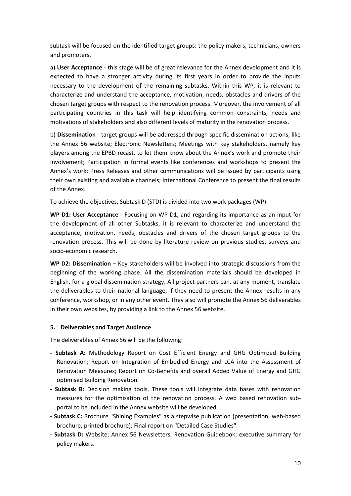subtask will be focused on the identified target groups: the policy makers, technicians, owners and promoters.

a) **User Acceptance** - this stage will be of great relevance for the Annex development and it is expected to have a stronger activity during its first years in order to provide the inputs necessary to the development of the remaining subtasks. Within this WP, it is relevant to characterize and understand the acceptance, motivation, needs, obstacles and drivers of the chosen target groups with respect to the renovation process. Moreover, the involvement of all participating countries in this task will help identifying common constraints, needs and motivations of stakeholders and also different levels of maturity in the renovation process.

b) **Dissemination** - target groups will be addressed through specific dissemination actions, like the Annex 56 website; Electronic Newsletters; Meetings with key stakeholders, namely key players among the EPBD recast, to let them know about the Annex's work and promote their involvement; Participation in formal events like conferences and workshops to present the Annex's work; Press Releases and other communications will be issued by participants using their own existing and available channels; International Conference to present the final results of the Annex.

To achieve the objectives, Subtask D (STD) is divided into two work packages (WP):

**WP D1: User Acceptance -** Focusing on WP D1, and regarding its importance as an input for the development of all other Subtasks, it is relevant to characterize and understand the acceptance, motivation, needs, obstacles and drivers of the chosen target groups to the renovation process. This will be done by literature review on previous studies, surveys and socio-economic research.

WP D2: Dissemination – Key stakeholders will be involved into strategic discussions from the beginning of the working phase. All the dissemination materials should be developed in English, for a global dissemination strategy. All project partners can, at any moment, translate the deliverables to their national language, if they need to present the Annex results in any conference, workshop, or in any other event. They also will promote the Annex 56 deliverables in their own websites, by providing a link to the Annex 56 website.

#### **5. Deliverables and Target Audience**

The deliverables of Annex 56 will be the following:

- **- Subtask A:** Methodology Report on Cost Efficient Energy and GHG Optimized Building Renovation; Report on Integration of Embodied Energy and LCA into the Assessment of Renovation Measures; Report on Co-Benefits and overall Added Value of Energy and GHG optimised Building Renovation.
- **- Subtask B:** Decision making tools. These tools will integrate data bases with renovation measures for the optimisation of the renovation process. A web based renovation subportal to be included in the Annex website will be developed.
- **- Subtask C:** Brochure "Shining Examples" as a stepwise publication (presentation, web-based brochure, printed brochure); Final report on "Detailed Case Studies".
- **- Subtask D:** Website; Annex 56 Newsletters; Renovation Guidebook; executive summary for policy makers.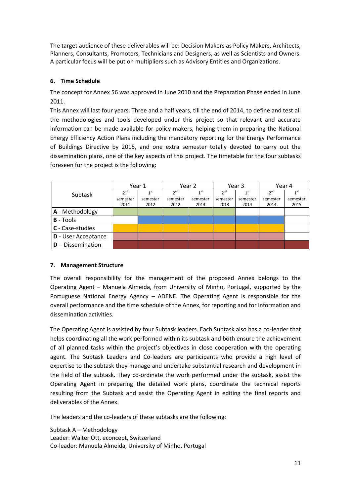The target audience of these deliverables will be: Decision Makers as Policy Makers, Architects, Planners, Consultants, Promoters, Technicians and Designers, as well as Scientists and Owners. A particular focus will be put on multipliers such as Advisory Entities and Organizations.

## **6. Time Schedule**

The concept for Annex 56 was approved in June 2010 and the Preparation Phase ended in June 2011.

This Annex will last four years. Three and a half years, till the end of 2014, to define and test all the methodologies and tools developed under this project so that relevant and accurate information can be made available for policy makers, helping them in preparing the National Energy Efficiency Action Plans including the mandatory reporting for the Energy Performance of Buildings Directive by 2015, and one extra semester totally devoted to carry out the dissemination plans, one of the key aspects of this project. The timetable for the four subtasks foreseen for the project is the following:

| Subtask              | Year 1          |                 | Year 2          |                 | Year 3          |                 | Year 4          |                 |
|----------------------|-----------------|-----------------|-----------------|-----------------|-----------------|-----------------|-----------------|-----------------|
|                      | 2 <sup>nd</sup> | 1 <sup>st</sup> | 2 <sup>nd</sup> | 1 <sup>st</sup> | 2 <sup>nd</sup> | 1 <sup>st</sup> | 2 <sup>nd</sup> | 1 <sup>st</sup> |
|                      | semester        | semester        | semester        | semester        | semester        | semester        | semester        | semester        |
|                      | 2011            | 2012            | 2012            | 2013            | 2013            | 2014            | 2014            | 2015            |
| A - Methodology      |                 |                 |                 |                 |                 |                 |                 |                 |
| <b>B</b> - Tools     |                 |                 |                 |                 |                 |                 |                 |                 |
| $ C - Case-studies$  |                 |                 |                 |                 |                 |                 |                 |                 |
| D - User Acceptance  |                 |                 |                 |                 |                 |                 |                 |                 |
| - Dissemination<br>D |                 |                 |                 |                 |                 |                 |                 |                 |

### **7. Management Structure**

The overall responsibility for the management of the proposed Annex belongs to the Operating Agent – Manuela Almeida, from University of Minho, Portugal, supported by the Portuguese National Energy Agency – ADENE. The Operating Agent is responsible for the overall performance and the time schedule of the Annex, for reporting and for information and dissemination activities.

The Operating Agent is assisted by four Subtask leaders. Each Subtask also has a co-leader that helps coordinating all the work performed within its subtask and both ensure the achievement of all planned tasks within the project's objectives in close cooperation with the operating agent. The Subtask Leaders and Co-leaders are participants who provide a high level of expertise to the subtask they manage and undertake substantial research and development in the field of the subtask. They co-ordinate the work performed under the subtask, assist the Operating Agent in preparing the detailed work plans, coordinate the technical reports resulting from the Subtask and assist the Operating Agent in editing the final reports and deliverables of the Annex.

The leaders and the co-leaders of these subtasks are the following:

Subtask A – Methodology Leader: Walter Ott, econcept, Switzerland Co-leader: Manuela Almeida, University of Minho, Portugal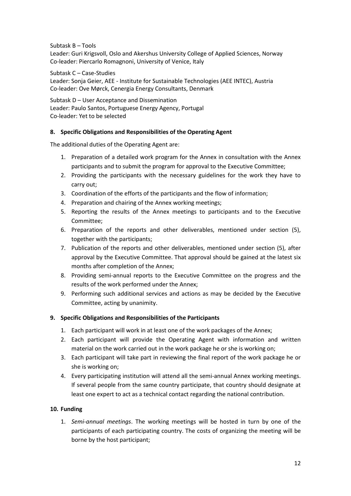Subtask B – Tools

Leader: Guri Krigsvoll, Oslo and Akershus University College of Applied Sciences, Norway Co-leader: Piercarlo Romagnoni, University of Venice, Italy

Subtask C – Case-Studies

Leader: Sonja Geier, AEE - Institute for Sustainable Technologies (AEE INTEC), Austria Co-leader: Ove Mørck, Cenergia Energy Consultants, Denmark

Subtask D – User Acceptance and Dissemination Leader: Paulo Santos, Portuguese Energy Agency, Portugal Co-leader: Yet to be selected

### **8. Specific Obligations and Responsibilities of the Operating Agent**

The additional duties of the Operating Agent are:

- 1. Preparation of a detailed work program for the Annex in consultation with the Annex participants and to submit the program for approval to the Executive Committee;
- 2. Providing the participants with the necessary guidelines for the work they have to carry out;
- 3. Coordination of the efforts of the participants and the flow of information;
- 4. Preparation and chairing of the Annex working meetings;
- 5. Reporting the results of the Annex meetings to participants and to the Executive Committee;
- 6. Preparation of the reports and other deliverables, mentioned under section (5), together with the participants;
- 7. Publication of the reports and other deliverables, mentioned under section (5), after approval by the Executive Committee. That approval should be gained at the latest six months after completion of the Annex;
- 8. Providing semi-annual reports to the Executive Committee on the progress and the results of the work performed under the Annex;
- 9. Performing such additional services and actions as may be decided by the Executive Committee, acting by unanimity.

### **9. Specific Obligations and Responsibilities of the Participants**

- 1. Each participant will work in at least one of the work packages of the Annex;
- 2. Each participant will provide the Operating Agent with information and written material on the work carried out in the work package he or she is working on;
- 3. Each participant will take part in reviewing the final report of the work package he or she is working on;
- 4. Every participating institution will attend all the semi-annual Annex working meetings. If several people from the same country participate, that country should designate at least one expert to act as a technical contact regarding the national contribution.

### **10. Funding**

1. *Semi-annual meetings*. The working meetings will be hosted in turn by one of the participants of each participating country. The costs of organizing the meeting will be borne by the host participant;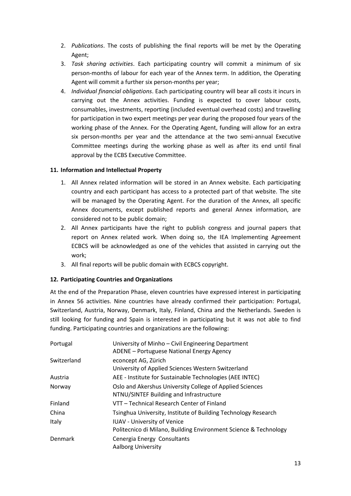- 2. *Publications*. The costs of publishing the final reports will be met by the Operating Agent;
- 3. *Task sharing activities*. Each participating country will commit a minimum of six person-months of labour for each year of the Annex term. In addition, the Operating Agent will commit a further six person-months per year;
- 4. *Individual financial obligations*. Each participating country will bear all costs it incurs in carrying out the Annex activities. Funding is expected to cover labour costs, consumables, investments, reporting (included eventual overhead costs) and travelling for participation in two expert meetings per year during the proposed four years of the working phase of the Annex. For the Operating Agent, funding will allow for an extra six person-months per year and the attendance at the two semi-annual Executive Committee meetings during the working phase as well as after its end until final approval by the ECBS Executive Committee.

## **11. Information and Intellectual Property**

- 1. All Annex related information will be stored in an Annex website. Each participating country and each participant has access to a protected part of that website. The site will be managed by the Operating Agent. For the duration of the Annex, all specific Annex documents, except published reports and general Annex information, are considered not to be public domain;
- 2. All Annex participants have the right to publish congress and journal papers that report on Annex related work. When doing so, the IEA Implementing Agreement ECBCS will be acknowledged as one of the vehicles that assisted in carrying out the work;
- 3. All final reports will be public domain with ECBCS copyright.

# **12. Participating Countries and Organizations**

At the end of the Preparation Phase, eleven countries have expressed interest in participating in Annex 56 activities. Nine countries have already confirmed their participation: Portugal, Switzerland, Austria, Norway, Denmark, Italy, Finland, China and the Netherlands. Sweden is still looking for funding and Spain is interested in participating but it was not able to find funding. Participating countries and organizations are the following:

| Portugal    | University of Minho - Civil Engineering Department<br>ADENE - Portuguese National Energy Agency        |
|-------------|--------------------------------------------------------------------------------------------------------|
| Switzerland | econcept AG, Zürich<br>University of Applied Sciences Western Switzerland                              |
| Austria     | AEE - Institute for Sustainable Technologies (AEE INTEC)                                               |
| Norway      | Oslo and Akershus University College of Applied Sciences<br>NTNU/SINTEF Building and Infrastructure    |
| Finland     | VTT - Technical Research Center of Finland                                                             |
| China       | Tsinghua University, Institute of Building Technology Research                                         |
| Italy       | <b>IUAV</b> - University of Venice<br>Politecnico di Milano, Building Environment Science & Technology |
| Denmark     | Cenergia Energy Consultants<br><b>Aalborg University</b>                                               |